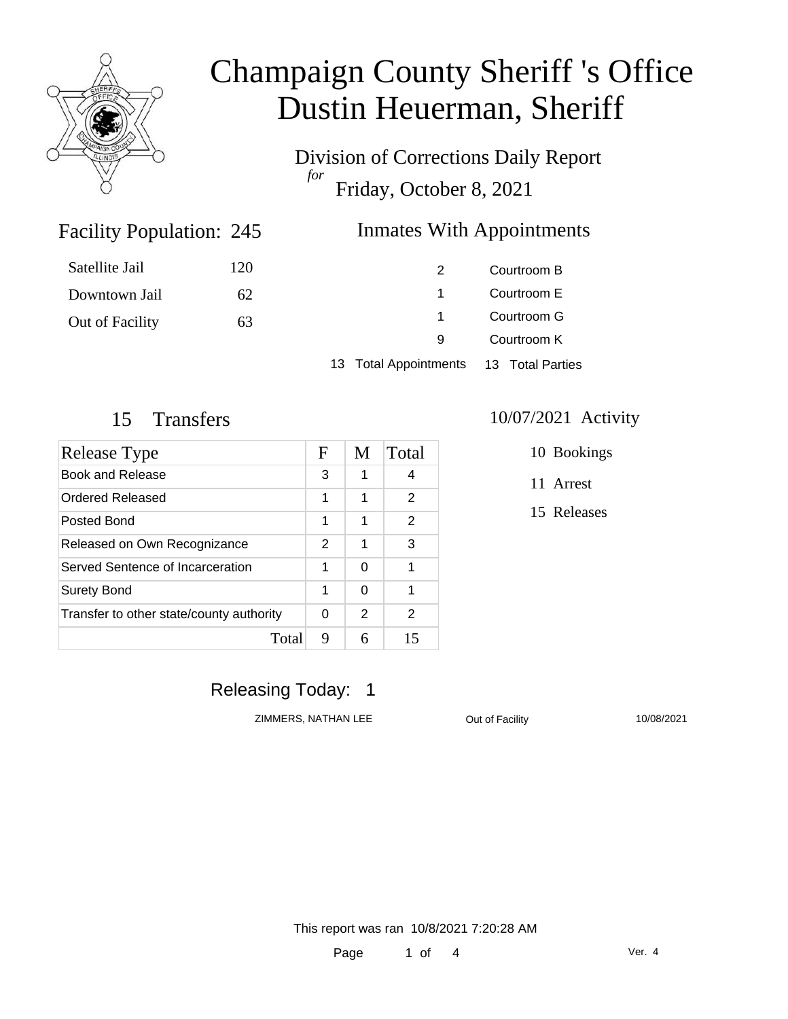

Division of Corrections Daily Report *for* Friday, October 8, 2021

### Facility Population: 245

### **Inmates With Appointments**

| Satellite Jail  | 120 |                                        | Courtroom B |
|-----------------|-----|----------------------------------------|-------------|
| Downtown Jail   | 62  |                                        | Courtroom E |
| Out of Facility | 63  |                                        | Courtroom G |
|                 |     | 9                                      | Courtroom K |
|                 |     | 13 Total Appointments 13 Total Parties |             |

| Release Type                             |   | M | Total |
|------------------------------------------|---|---|-------|
| Book and Release                         |   | 1 | 4     |
| Ordered Released                         |   | 1 | 2     |
| Posted Bond                              |   | 1 | 2     |
| Released on Own Recognizance             |   | 1 | 3     |
| Served Sentence of Incarceration         |   | 0 | 1     |
| Surety Bond                              |   | 0 | 1     |
| Transfer to other state/county authority |   | 2 | 2     |
| Total                                    | 9 | 6 | 15    |

### 15 Transfers 10/07/2021 Activity

10 Bookings

11 Arrest

15 Releases

# Releasing Today: 1

ZIMMERS, NATHAN LEE <br>
Out of Facility 
Out of Languary 
2010/08/2021

This report was ran 10/8/2021 7:20:28 AM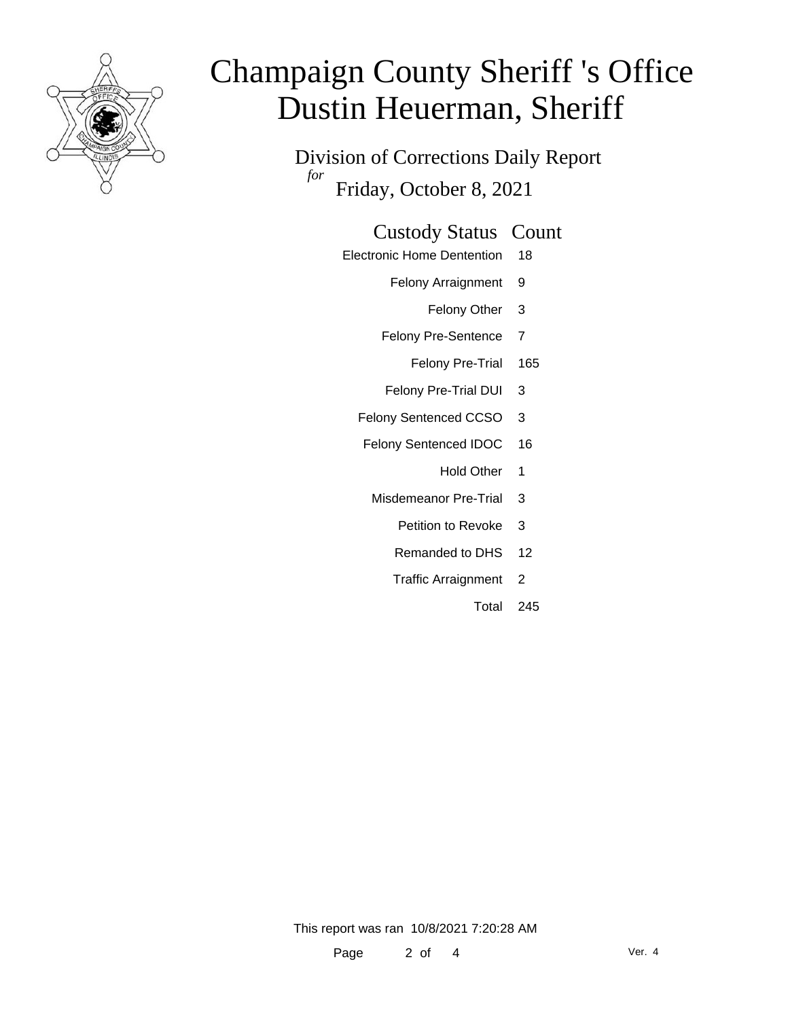

Division of Corrections Daily Report *for* Friday, October 8, 2021

### Custody Status Count

- Electronic Home Dentention 18
	- Felony Arraignment 9
		- Felony Other 3
	- Felony Pre-Sentence 7
		- Felony Pre-Trial 165
	- Felony Pre-Trial DUI 3
	- Felony Sentenced CCSO 3
	- Felony Sentenced IDOC 16
		- Hold Other 1
		- Misdemeanor Pre-Trial 3
			- Petition to Revoke 3
			- Remanded to DHS 12
			- Traffic Arraignment 2
				- Total 245

This report was ran 10/8/2021 7:20:28 AM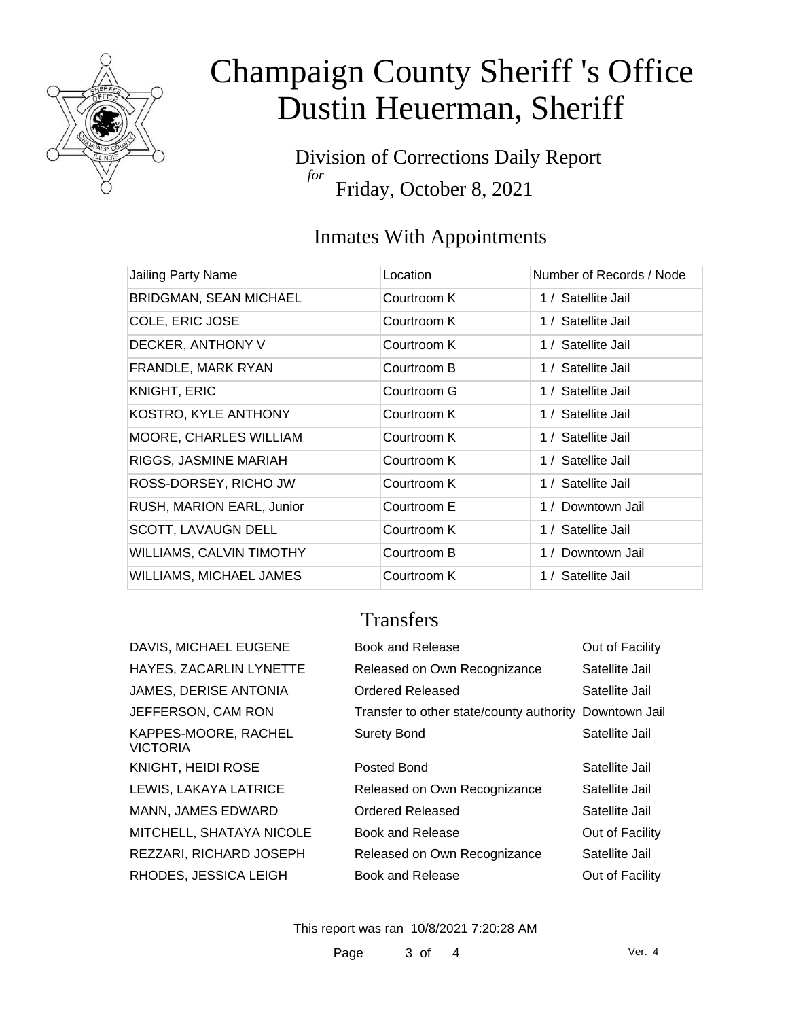

Division of Corrections Daily Report *for* Friday, October 8, 2021

# Inmates With Appointments

| Jailing Party Name              | Location    | Number of Records / Node |
|---------------------------------|-------------|--------------------------|
| <b>BRIDGMAN, SEAN MICHAEL</b>   | Courtroom K | 1 / Satellite Jail       |
| COLE, ERIC JOSE                 | Courtroom K | 1 / Satellite Jail       |
| DECKER, ANTHONY V               | Courtroom K | 1 / Satellite Jail       |
| FRANDLE, MARK RYAN              | Courtroom B | 1 / Satellite Jail       |
| <b>KNIGHT, ERIC</b>             | Courtroom G | 1 / Satellite Jail       |
| KOSTRO, KYLE ANTHONY            | Courtroom K | 1 / Satellite Jail       |
| MOORE, CHARLES WILLIAM          | Courtroom K | 1 / Satellite Jail       |
| RIGGS, JASMINE MARIAH           | Courtroom K | 1 / Satellite Jail       |
| ROSS-DORSEY, RICHO JW           | Courtroom K | 1 / Satellite Jail       |
| RUSH, MARION EARL, Junior       | Courtroom E | 1 / Downtown Jail        |
| SCOTT, LAVAUGN DELL             | Courtroom K | 1 / Satellite Jail       |
| <b>WILLIAMS, CALVIN TIMOTHY</b> | Courtroom B | 1 / Downtown Jail        |
| <b>WILLIAMS, MICHAEL JAMES</b>  | Courtroom K | 1 / Satellite Jail       |

# **Transfers**

| DAVIS, MICHAEL EUGENE                   | Book and Release                                       | Out of Facility |
|-----------------------------------------|--------------------------------------------------------|-----------------|
| HAYES, ZACARLIN LYNETTE                 | Released on Own Recognizance                           | Satellite Jail  |
| JAMES, DERISE ANTONIA                   | Ordered Released                                       | Satellite Jail  |
| JEFFERSON, CAM RON                      | Transfer to other state/county authority Downtown Jail |                 |
| KAPPES-MOORE, RACHEL<br><b>VICTORIA</b> | <b>Surety Bond</b>                                     | Satellite Jail  |
| <b>KNIGHT, HEIDI ROSE</b>               | Posted Bond                                            | Satellite Jail  |
| LEWIS, LAKAYA LATRICE                   | Released on Own Recognizance                           | Satellite Jail  |
| MANN, JAMES EDWARD                      | Ordered Released                                       | Satellite Jail  |
| MITCHELL, SHATAYA NICOLE                | Book and Release                                       | Out of Facility |
| REZZARI, RICHARD JOSEPH                 | Released on Own Recognizance                           | Satellite Jail  |
| RHODES, JESSICA LEIGH                   | Book and Release                                       | Out of Facility |